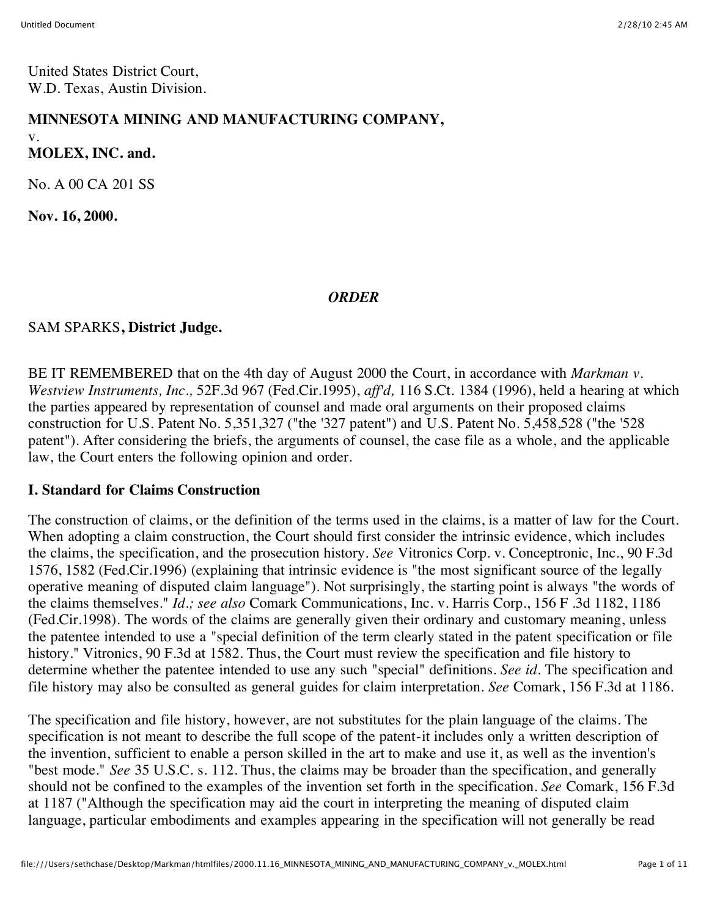United States District Court, W.D. Texas, Austin Division.

#### **MINNESOTA MINING AND MANUFACTURING COMPANY,** v.

**MOLEX, INC. and.**

No. A 00 CA 201 SS

**Nov. 16, 2000.**

#### *ORDER*

#### SAM SPARKS**, District Judge.**

BE IT REMEMBERED that on the 4th day of August 2000 the Court, in accordance with *Markman v. Westview Instruments, Inc.,* 52F.3d 967 (Fed.Cir.1995), *aff'd,* 116 S.Ct. 1384 (1996), held a hearing at which the parties appeared by representation of counsel and made oral arguments on their proposed claims construction for U.S. Patent No. 5,351,327 ("the '327 patent") and U.S. Patent No. 5,458,528 ("the '528 patent"). After considering the briefs, the arguments of counsel, the case file as a whole, and the applicable law, the Court enters the following opinion and order.

#### **I. Standard for Claims Construction**

The construction of claims, or the definition of the terms used in the claims, is a matter of law for the Court. When adopting a claim construction, the Court should first consider the intrinsic evidence, which includes the claims, the specification, and the prosecution history. *See Vitronics Corp. v. Conceptronic*, Inc., 90 F.3d 1576, 1582 (Fed.Cir.1996) (explaining that intrinsic evidence is "the most significant source of the legally operative meaning of disputed claim language"). Not surprisingly, the starting point is always "the words of the claims themselves." *Id.; see also* Comark Communications, Inc. v. Harris Corp., 156 F .3d 1182, 1186 (Fed.Cir.1998). The words of the claims are generally given their ordinary and customary meaning, unless the patentee intended to use a "special definition of the term clearly stated in the patent specification or file history." Vitronics, 90 F.3d at 1582. Thus, the Court must review the specification and file history to determine whether the patentee intended to use any such "special" definitions. *See id.* The specification and file history may also be consulted as general guides for claim interpretation. *See* Comark, 156 F.3d at 1186.

The specification and file history, however, are not substitutes for the plain language of the claims. The specification is not meant to describe the full scope of the patent-it includes only a written description of the invention, sufficient to enable a person skilled in the art to make and use it, as well as the invention's "best mode." *See* 35 U.S.C. s. 112. Thus, the claims may be broader than the specification, and generally should not be confined to the examples of the invention set forth in the specification. *See* Comark, 156 F.3d at 1187 ("Although the specification may aid the court in interpreting the meaning of disputed claim language, particular embodiments and examples appearing in the specification will not generally be read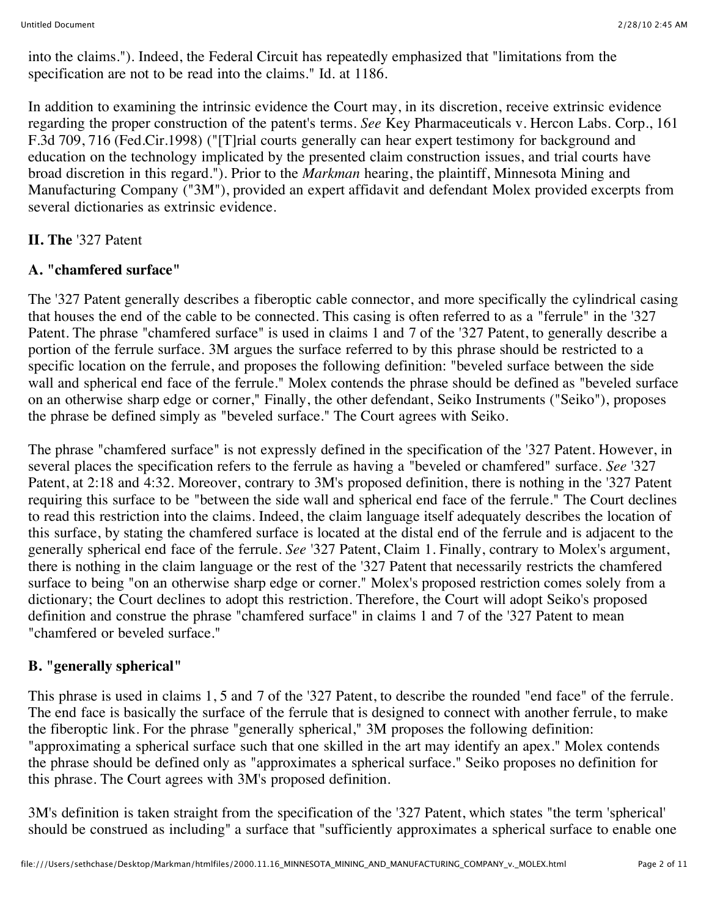into the claims."). Indeed, the Federal Circuit has repeatedly emphasized that "limitations from the specification are not to be read into the claims." Id. at 1186.

In addition to examining the intrinsic evidence the Court may, in its discretion, receive extrinsic evidence regarding the proper construction of the patent's terms. *See* Key Pharmaceuticals v. Hercon Labs. Corp., 161 F.3d 709, 716 (Fed.Cir.1998) ("[T]rial courts generally can hear expert testimony for background and education on the technology implicated by the presented claim construction issues, and trial courts have broad discretion in this regard."). Prior to the *Markman* hearing, the plaintiff, Minnesota Mining and Manufacturing Company ("3M"), provided an expert affidavit and defendant Molex provided excerpts from several dictionaries as extrinsic evidence.

### **II. The** '327 Patent

## **A. "chamfered surface"**

The '327 Patent generally describes a fiberoptic cable connector, and more specifically the cylindrical casing that houses the end of the cable to be connected. This casing is often referred to as a "ferrule" in the '327 Patent. The phrase "chamfered surface" is used in claims 1 and 7 of the '327 Patent, to generally describe a portion of the ferrule surface. 3M argues the surface referred to by this phrase should be restricted to a specific location on the ferrule, and proposes the following definition: "beveled surface between the side wall and spherical end face of the ferrule." Molex contends the phrase should be defined as "beveled surface on an otherwise sharp edge or corner," Finally, the other defendant, Seiko Instruments ("Seiko"), proposes the phrase be defined simply as "beveled surface." The Court agrees with Seiko.

The phrase "chamfered surface" is not expressly defined in the specification of the '327 Patent. However, in several places the specification refers to the ferrule as having a "beveled or chamfered" surface. *See* '327 Patent, at 2:18 and 4:32. Moreover, contrary to 3M's proposed definition, there is nothing in the '327 Patent requiring this surface to be "between the side wall and spherical end face of the ferrule." The Court declines to read this restriction into the claims. Indeed, the claim language itself adequately describes the location of this surface, by stating the chamfered surface is located at the distal end of the ferrule and is adjacent to the generally spherical end face of the ferrule. *See* '327 Patent, Claim 1. Finally, contrary to Molex's argument, there is nothing in the claim language or the rest of the '327 Patent that necessarily restricts the chamfered surface to being "on an otherwise sharp edge or corner." Molex's proposed restriction comes solely from a dictionary; the Court declines to adopt this restriction. Therefore, the Court will adopt Seiko's proposed definition and construe the phrase "chamfered surface" in claims 1 and 7 of the '327 Patent to mean "chamfered or beveled surface."

# **B. "generally spherical"**

This phrase is used in claims 1, 5 and 7 of the '327 Patent, to describe the rounded "end face" of the ferrule. The end face is basically the surface of the ferrule that is designed to connect with another ferrule, to make the fiberoptic link. For the phrase "generally spherical," 3M proposes the following definition: "approximating a spherical surface such that one skilled in the art may identify an apex." Molex contends the phrase should be defined only as "approximates a spherical surface." Seiko proposes no definition for this phrase. The Court agrees with 3M's proposed definition.

3M's definition is taken straight from the specification of the '327 Patent, which states "the term 'spherical' should be construed as including" a surface that "sufficiently approximates a spherical surface to enable one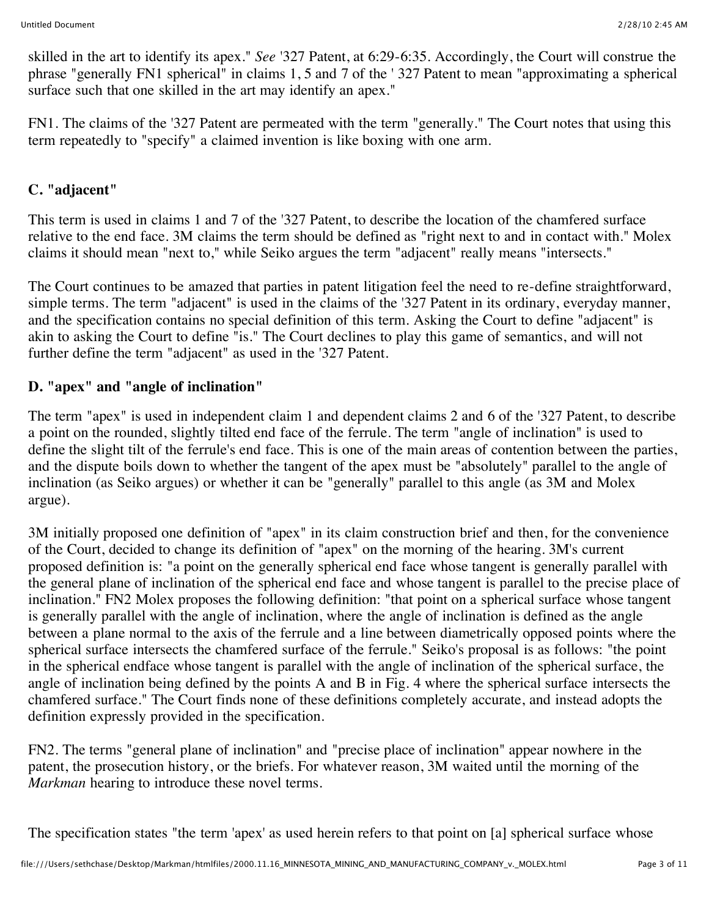skilled in the art to identify its apex." *See* '327 Patent, at 6:29-6:35. Accordingly, the Court will construe the phrase "generally FN1 spherical" in claims 1, 5 and 7 of the ' 327 Patent to mean "approximating a spherical surface such that one skilled in the art may identify an apex."

FN1. The claims of the '327 Patent are permeated with the term "generally." The Court notes that using this term repeatedly to "specify" a claimed invention is like boxing with one arm.

### **C. "adjacent"**

This term is used in claims 1 and 7 of the '327 Patent, to describe the location of the chamfered surface relative to the end face. 3M claims the term should be defined as "right next to and in contact with." Molex claims it should mean "next to," while Seiko argues the term "adjacent" really means "intersects."

The Court continues to be amazed that parties in patent litigation feel the need to re-define straightforward, simple terms. The term "adjacent" is used in the claims of the '327 Patent in its ordinary, everyday manner, and the specification contains no special definition of this term. Asking the Court to define "adjacent" is akin to asking the Court to define "is." The Court declines to play this game of semantics, and will not further define the term "adjacent" as used in the '327 Patent.

#### **D. "apex" and "angle of inclination"**

The term "apex" is used in independent claim 1 and dependent claims 2 and 6 of the '327 Patent, to describe a point on the rounded, slightly tilted end face of the ferrule. The term "angle of inclination" is used to define the slight tilt of the ferrule's end face. This is one of the main areas of contention between the parties, and the dispute boils down to whether the tangent of the apex must be "absolutely" parallel to the angle of inclination (as Seiko argues) or whether it can be "generally" parallel to this angle (as 3M and Molex argue).

3M initially proposed one definition of "apex" in its claim construction brief and then, for the convenience of the Court, decided to change its definition of "apex" on the morning of the hearing. 3M's current proposed definition is: "a point on the generally spherical end face whose tangent is generally parallel with the general plane of inclination of the spherical end face and whose tangent is parallel to the precise place of inclination." FN2 Molex proposes the following definition: "that point on a spherical surface whose tangent is generally parallel with the angle of inclination, where the angle of inclination is defined as the angle between a plane normal to the axis of the ferrule and a line between diametrically opposed points where the spherical surface intersects the chamfered surface of the ferrule." Seiko's proposal is as follows: "the point in the spherical endface whose tangent is parallel with the angle of inclination of the spherical surface, the angle of inclination being defined by the points A and B in Fig. 4 where the spherical surface intersects the chamfered surface." The Court finds none of these definitions completely accurate, and instead adopts the definition expressly provided in the specification.

FN2. The terms "general plane of inclination" and "precise place of inclination" appear nowhere in the patent, the prosecution history, or the briefs. For whatever reason, 3M waited until the morning of the *Markman* hearing to introduce these novel terms.

The specification states "the term 'apex' as used herein refers to that point on [a] spherical surface whose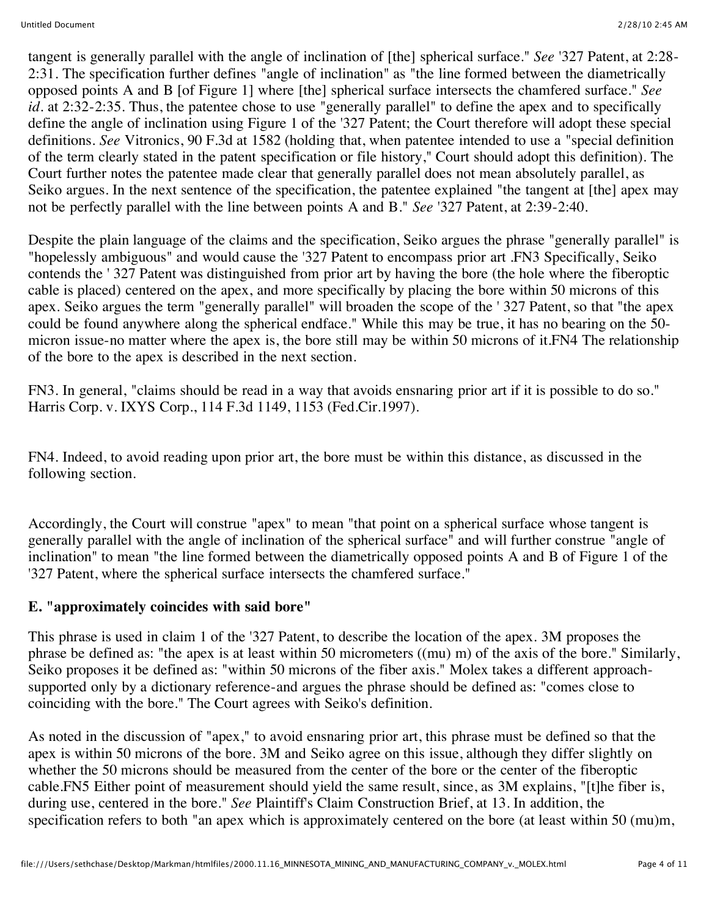tangent is generally parallel with the angle of inclination of [the] spherical surface." *See* '327 Patent, at 2:28- 2:31. The specification further defines "angle of inclination" as "the line formed between the diametrically opposed points A and B [of Figure 1] where [the] spherical surface intersects the chamfered surface." *See id.* at 2:32-2:35. Thus, the patentee chose to use "generally parallel" to define the apex and to specifically define the angle of inclination using Figure 1 of the '327 Patent; the Court therefore will adopt these special definitions. *See* Vitronics, 90 F.3d at 1582 (holding that, when patentee intended to use a "special definition of the term clearly stated in the patent specification or file history," Court should adopt this definition). The Court further notes the patentee made clear that generally parallel does not mean absolutely parallel, as Seiko argues. In the next sentence of the specification, the patentee explained "the tangent at [the] apex may not be perfectly parallel with the line between points A and B." *See* '327 Patent, at 2:39-2:40.

Despite the plain language of the claims and the specification, Seiko argues the phrase "generally parallel" is "hopelessly ambiguous" and would cause the '327 Patent to encompass prior art .FN3 Specifically, Seiko contends the ' 327 Patent was distinguished from prior art by having the bore (the hole where the fiberoptic cable is placed) centered on the apex, and more specifically by placing the bore within 50 microns of this apex. Seiko argues the term "generally parallel" will broaden the scope of the ' 327 Patent, so that "the apex could be found anywhere along the spherical endface." While this may be true, it has no bearing on the 50 micron issue-no matter where the apex is, the bore still may be within 50 microns of it.FN4 The relationship of the bore to the apex is described in the next section.

FN3. In general, "claims should be read in a way that avoids ensnaring prior art if it is possible to do so." Harris Corp. v. IXYS Corp., 114 F.3d 1149, 1153 (Fed.Cir.1997).

FN4. Indeed, to avoid reading upon prior art, the bore must be within this distance, as discussed in the following section.

Accordingly, the Court will construe "apex" to mean "that point on a spherical surface whose tangent is generally parallel with the angle of inclination of the spherical surface" and will further construe "angle of inclination" to mean "the line formed between the diametrically opposed points A and B of Figure 1 of the '327 Patent, where the spherical surface intersects the chamfered surface."

#### **E. "approximately coincides with said bore"**

This phrase is used in claim 1 of the '327 Patent, to describe the location of the apex. 3M proposes the phrase be defined as: "the apex is at least within 50 micrometers ((mu) m) of the axis of the bore." Similarly, Seiko proposes it be defined as: "within 50 microns of the fiber axis." Molex takes a different approachsupported only by a dictionary reference-and argues the phrase should be defined as: "comes close to coinciding with the bore." The Court agrees with Seiko's definition.

As noted in the discussion of "apex," to avoid ensnaring prior art, this phrase must be defined so that the apex is within 50 microns of the bore. 3M and Seiko agree on this issue, although they differ slightly on whether the 50 microns should be measured from the center of the bore or the center of the fiberoptic cable.FN5 Either point of measurement should yield the same result, since, as 3M explains, "[t]he fiber is, during use, centered in the bore." *See* Plaintiff's Claim Construction Brief, at 13. In addition, the specification refers to both "an apex which is approximately centered on the bore (at least within 50 (mu)m,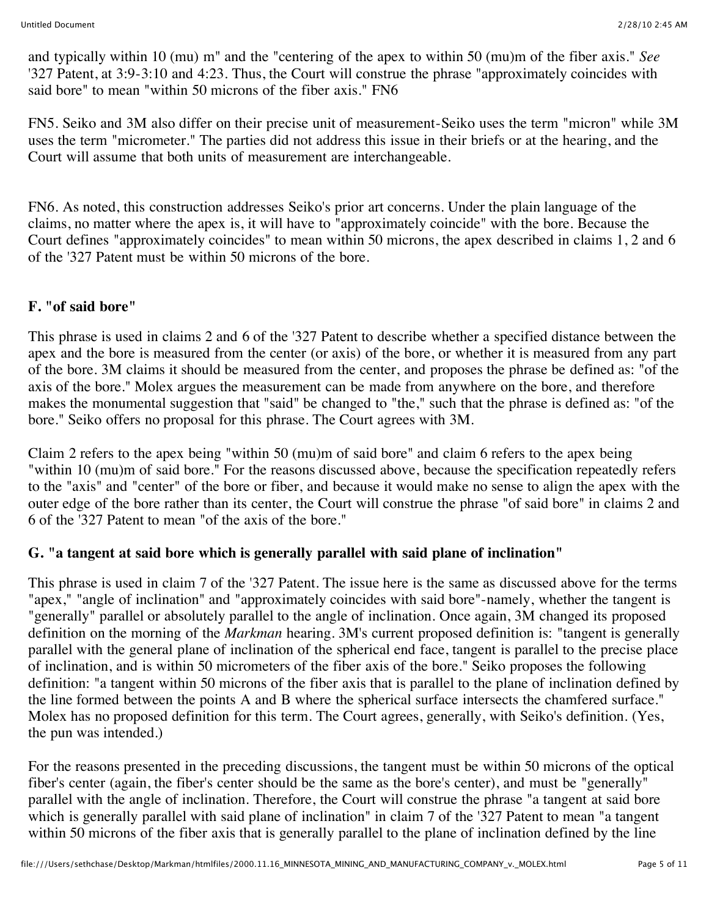and typically within 10 (mu) m" and the "centering of the apex to within 50 (mu)m of the fiber axis." *See* '327 Patent, at 3:9-3:10 and 4:23. Thus, the Court will construe the phrase "approximately coincides with said bore" to mean "within 50 microns of the fiber axis." FN6

FN5. Seiko and 3M also differ on their precise unit of measurement-Seiko uses the term "micron" while 3M uses the term "micrometer." The parties did not address this issue in their briefs or at the hearing, and the Court will assume that both units of measurement are interchangeable.

FN6. As noted, this construction addresses Seiko's prior art concerns. Under the plain language of the claims, no matter where the apex is, it will have to "approximately coincide" with the bore. Because the Court defines "approximately coincides" to mean within 50 microns, the apex described in claims 1, 2 and 6 of the '327 Patent must be within 50 microns of the bore.

#### **F. "of said bore"**

This phrase is used in claims 2 and 6 of the '327 Patent to describe whether a specified distance between the apex and the bore is measured from the center (or axis) of the bore, or whether it is measured from any part of the bore. 3M claims it should be measured from the center, and proposes the phrase be defined as: "of the axis of the bore." Molex argues the measurement can be made from anywhere on the bore, and therefore makes the monumental suggestion that "said" be changed to "the," such that the phrase is defined as: "of the bore." Seiko offers no proposal for this phrase. The Court agrees with 3M.

Claim 2 refers to the apex being "within 50 (mu)m of said bore" and claim 6 refers to the apex being "within 10 (mu)m of said bore." For the reasons discussed above, because the specification repeatedly refers to the "axis" and "center" of the bore or fiber, and because it would make no sense to align the apex with the outer edge of the bore rather than its center, the Court will construe the phrase "of said bore" in claims 2 and 6 of the '327 Patent to mean "of the axis of the bore."

#### **G. "a tangent at said bore which is generally parallel with said plane of inclination"**

This phrase is used in claim 7 of the '327 Patent. The issue here is the same as discussed above for the terms "apex," "angle of inclination" and "approximately coincides with said bore"-namely, whether the tangent is "generally" parallel or absolutely parallel to the angle of inclination. Once again, 3M changed its proposed definition on the morning of the *Markman* hearing. 3M's current proposed definition is: "tangent is generally parallel with the general plane of inclination of the spherical end face, tangent is parallel to the precise place of inclination, and is within 50 micrometers of the fiber axis of the bore." Seiko proposes the following definition: "a tangent within 50 microns of the fiber axis that is parallel to the plane of inclination defined by the line formed between the points A and B where the spherical surface intersects the chamfered surface." Molex has no proposed definition for this term. The Court agrees, generally, with Seiko's definition. (Yes, the pun was intended.)

For the reasons presented in the preceding discussions, the tangent must be within 50 microns of the optical fiber's center (again, the fiber's center should be the same as the bore's center), and must be "generally" parallel with the angle of inclination. Therefore, the Court will construe the phrase "a tangent at said bore which is generally parallel with said plane of inclination" in claim 7 of the '327 Patent to mean "a tangent within 50 microns of the fiber axis that is generally parallel to the plane of inclination defined by the line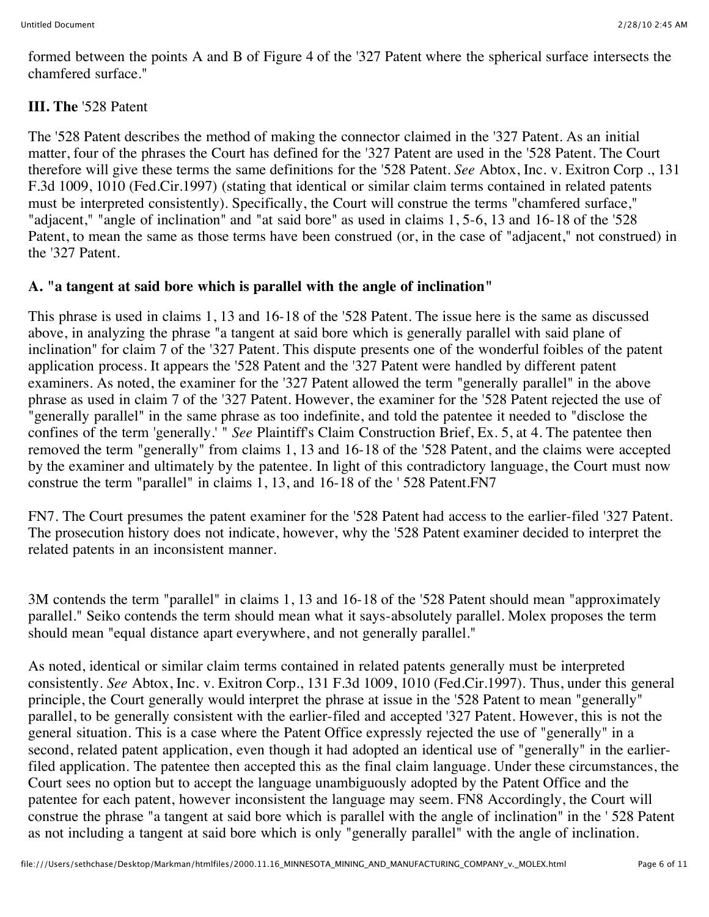formed between the points A and B of Figure 4 of the '327 Patent where the spherical surface intersects the chamfered surface."

# **III. The** '528 Patent

The '528 Patent describes the method of making the connector claimed in the '327 Patent. As an initial matter, four of the phrases the Court has defined for the '327 Patent are used in the '528 Patent. The Court therefore will give these terms the same definitions for the '528 Patent. *See* Abtox, Inc. v. Exitron Corp ., 131 F.3d 1009, 1010 (Fed.Cir.1997) (stating that identical or similar claim terms contained in related patents must be interpreted consistently). Specifically, the Court will construe the terms "chamfered surface," "adjacent," "angle of inclination" and "at said bore" as used in claims 1, 5-6, 13 and 16-18 of the '528 Patent, to mean the same as those terms have been construed (or, in the case of "adjacent," not construed) in the '327 Patent.

## **A. "a tangent at said bore which is parallel with the angle of inclination"**

This phrase is used in claims 1, 13 and 16-18 of the '528 Patent. The issue here is the same as discussed above, in analyzing the phrase "a tangent at said bore which is generally parallel with said plane of inclination" for claim 7 of the '327 Patent. This dispute presents one of the wonderful foibles of the patent application process. It appears the '528 Patent and the '327 Patent were handled by different patent examiners. As noted, the examiner for the '327 Patent allowed the term "generally parallel" in the above phrase as used in claim 7 of the '327 Patent. However, the examiner for the '528 Patent rejected the use of "generally parallel" in the same phrase as too indefinite, and told the patentee it needed to "disclose the confines of the term 'generally.' " *See* Plaintiff's Claim Construction Brief, Ex. 5, at 4. The patentee then removed the term "generally" from claims 1, 13 and 16-18 of the '528 Patent, and the claims were accepted by the examiner and ultimately by the patentee. In light of this contradictory language, the Court must now construe the term "parallel" in claims 1, 13, and 16-18 of the ' 528 Patent.FN7

FN7. The Court presumes the patent examiner for the '528 Patent had access to the earlier-filed '327 Patent. The prosecution history does not indicate, however, why the '528 Patent examiner decided to interpret the related patents in an inconsistent manner.

3M contends the term "parallel" in claims 1, 13 and 16-18 of the '528 Patent should mean "approximately parallel." Seiko contends the term should mean what it says-absolutely parallel. Molex proposes the term should mean "equal distance apart everywhere, and not generally parallel."

As noted, identical or similar claim terms contained in related patents generally must be interpreted consistently. *See* Abtox, Inc. v. Exitron Corp., 131 F.3d 1009, 1010 (Fed.Cir.1997). Thus, under this general principle, the Court generally would interpret the phrase at issue in the '528 Patent to mean "generally" parallel, to be generally consistent with the earlier-filed and accepted '327 Patent. However, this is not the general situation. This is a case where the Patent Office expressly rejected the use of "generally" in a second, related patent application, even though it had adopted an identical use of "generally" in the earlierfiled application. The patentee then accepted this as the final claim language. Under these circumstances, the Court sees no option but to accept the language unambiguously adopted by the Patent Office and the patentee for each patent, however inconsistent the language may seem. FN8 Accordingly, the Court will construe the phrase "a tangent at said bore which is parallel with the angle of inclination" in the ' 528 Patent as not including a tangent at said bore which is only "generally parallel" with the angle of inclination.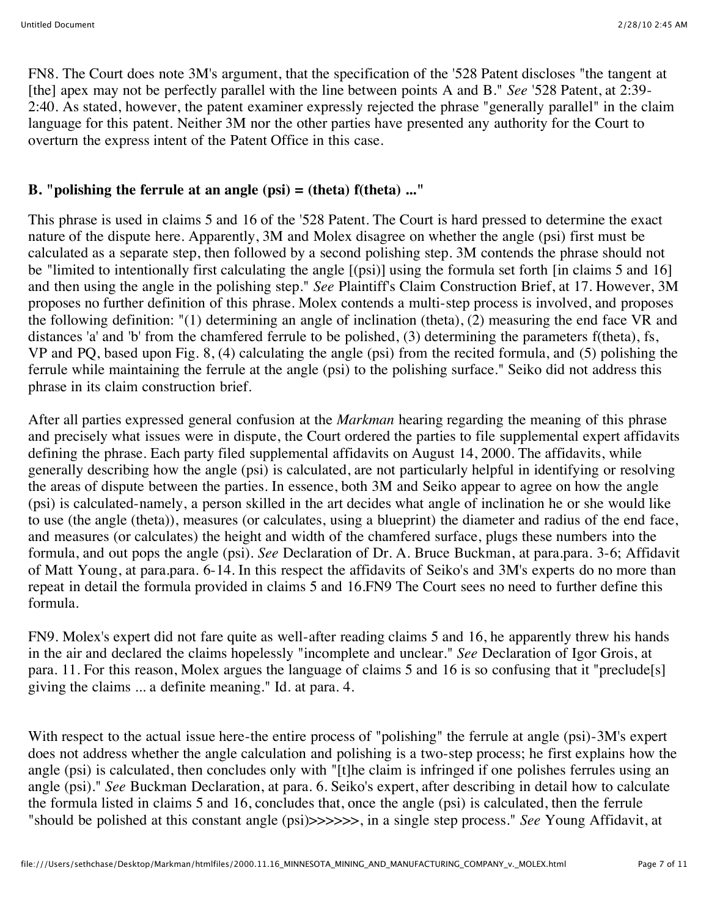FN8. The Court does note 3M's argument, that the specification of the '528 Patent discloses "the tangent at [the] apex may not be perfectly parallel with the line between points A and B." *See* '528 Patent, at 2:39- 2:40. As stated, however, the patent examiner expressly rejected the phrase "generally parallel" in the claim language for this patent. Neither 3M nor the other parties have presented any authority for the Court to overturn the express intent of the Patent Office in this case.

### **B. "polishing the ferrule at an angle (psi) = (theta) f(theta) ..."**

This phrase is used in claims 5 and 16 of the '528 Patent. The Court is hard pressed to determine the exact nature of the dispute here. Apparently, 3M and Molex disagree on whether the angle (psi) first must be calculated as a separate step, then followed by a second polishing step. 3M contends the phrase should not be "limited to intentionally first calculating the angle [(psi)] using the formula set forth [in claims 5 and 16] and then using the angle in the polishing step." *See* Plaintiff's Claim Construction Brief, at 17. However, 3M proposes no further definition of this phrase. Molex contends a multi-step process is involved, and proposes the following definition: "(1) determining an angle of inclination (theta), (2) measuring the end face VR and distances 'a' and 'b' from the chamfered ferrule to be polished, (3) determining the parameters f(theta), fs, VP and PQ, based upon Fig. 8, (4) calculating the angle (psi) from the recited formula, and (5) polishing the ferrule while maintaining the ferrule at the angle (psi) to the polishing surface." Seiko did not address this phrase in its claim construction brief.

After all parties expressed general confusion at the *Markman* hearing regarding the meaning of this phrase and precisely what issues were in dispute, the Court ordered the parties to file supplemental expert affidavits defining the phrase. Each party filed supplemental affidavits on August 14, 2000. The affidavits, while generally describing how the angle (psi) is calculated, are not particularly helpful in identifying or resolving the areas of dispute between the parties. In essence, both 3M and Seiko appear to agree on how the angle (psi) is calculated-namely, a person skilled in the art decides what angle of inclination he or she would like to use (the angle (theta)), measures (or calculates, using a blueprint) the diameter and radius of the end face, and measures (or calculates) the height and width of the chamfered surface, plugs these numbers into the formula, and out pops the angle (psi). *See* Declaration of Dr. A. Bruce Buckman, at para.para. 3-6; Affidavit of Matt Young, at para.para. 6-14. In this respect the affidavits of Seiko's and 3M's experts do no more than repeat in detail the formula provided in claims 5 and 16.FN9 The Court sees no need to further define this formula.

FN9. Molex's expert did not fare quite as well-after reading claims 5 and 16, he apparently threw his hands in the air and declared the claims hopelessly "incomplete and unclear." *See* Declaration of Igor Grois, at para. 11. For this reason, Molex argues the language of claims 5 and 16 is so confusing that it "preclude[s] giving the claims ... a definite meaning." Id. at para. 4.

With respect to the actual issue here-the entire process of "polishing" the ferrule at angle (psi)-3M's expert does not address whether the angle calculation and polishing is a two-step process; he first explains how the angle (psi) is calculated, then concludes only with "[t]he claim is infringed if one polishes ferrules using an angle (psi)." *See* Buckman Declaration, at para. 6. Seiko's expert, after describing in detail how to calculate the formula listed in claims 5 and 16, concludes that, once the angle (psi) is calculated, then the ferrule "should be polished at this constant angle (psi)>>>>>>, in a single step process." *See* Young Affidavit, at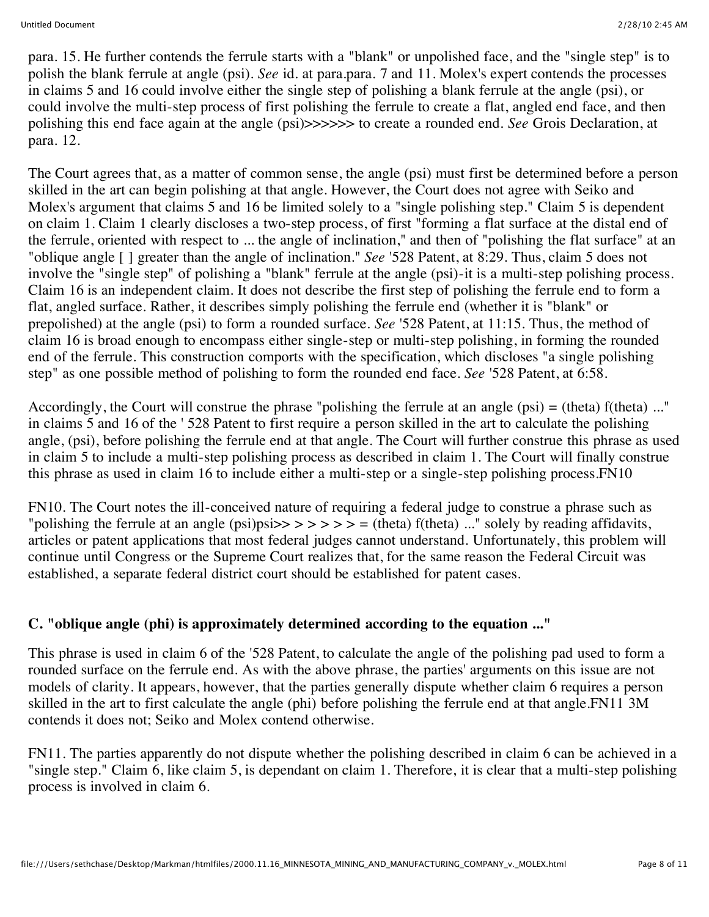para. 15. He further contends the ferrule starts with a "blank" or unpolished face, and the "single step" is to polish the blank ferrule at angle (psi). *See* id. at para.para. 7 and 11. Molex's expert contends the processes in claims 5 and 16 could involve either the single step of polishing a blank ferrule at the angle (psi), or could involve the multi-step process of first polishing the ferrule to create a flat, angled end face, and then polishing this end face again at the angle (psi)>>>>>> to create a rounded end. *See* Grois Declaration, at para. 12.

The Court agrees that, as a matter of common sense, the angle (psi) must first be determined before a person skilled in the art can begin polishing at that angle. However, the Court does not agree with Seiko and Molex's argument that claims 5 and 16 be limited solely to a "single polishing step." Claim 5 is dependent on claim 1. Claim 1 clearly discloses a two-step process, of first "forming a flat surface at the distal end of the ferrule, oriented with respect to ... the angle of inclination," and then of "polishing the flat surface" at an "oblique angle [ ] greater than the angle of inclination." *See* '528 Patent, at 8:29. Thus, claim 5 does not involve the "single step" of polishing a "blank" ferrule at the angle (psi)-it is a multi-step polishing process. Claim 16 is an independent claim. It does not describe the first step of polishing the ferrule end to form a flat, angled surface. Rather, it describes simply polishing the ferrule end (whether it is "blank" or prepolished) at the angle (psi) to form a rounded surface. *See* '528 Patent, at 11:15. Thus, the method of claim 16 is broad enough to encompass either single-step or multi-step polishing, in forming the rounded end of the ferrule. This construction comports with the specification, which discloses "a single polishing step" as one possible method of polishing to form the rounded end face. *See* '528 Patent, at 6:58.

Accordingly, the Court will construe the phrase "polishing the ferrule at an angle (psi) = (theta) f(theta) ..." in claims 5 and 16 of the ' 528 Patent to first require a person skilled in the art to calculate the polishing angle, (psi), before polishing the ferrule end at that angle. The Court will further construe this phrase as used in claim 5 to include a multi-step polishing process as described in claim 1. The Court will finally construe this phrase as used in claim 16 to include either a multi-step or a single-step polishing process.FN10

FN10. The Court notes the ill-conceived nature of requiring a federal judge to construe a phrase such as "polishing the ferrule at an angle (psi)psi $>> \gt>> \gt>=$  (theta) f(theta) ..." solely by reading affidavits, articles or patent applications that most federal judges cannot understand. Unfortunately, this problem will continue until Congress or the Supreme Court realizes that, for the same reason the Federal Circuit was established, a separate federal district court should be established for patent cases.

## **C. "oblique angle (phi) is approximately determined according to the equation ..."**

This phrase is used in claim 6 of the '528 Patent, to calculate the angle of the polishing pad used to form a rounded surface on the ferrule end. As with the above phrase, the parties' arguments on this issue are not models of clarity. It appears, however, that the parties generally dispute whether claim 6 requires a person skilled in the art to first calculate the angle (phi) before polishing the ferrule end at that angle.FN11 3M contends it does not; Seiko and Molex contend otherwise.

FN11. The parties apparently do not dispute whether the polishing described in claim 6 can be achieved in a "single step." Claim 6, like claim 5, is dependant on claim 1. Therefore, it is clear that a multi-step polishing process is involved in claim 6.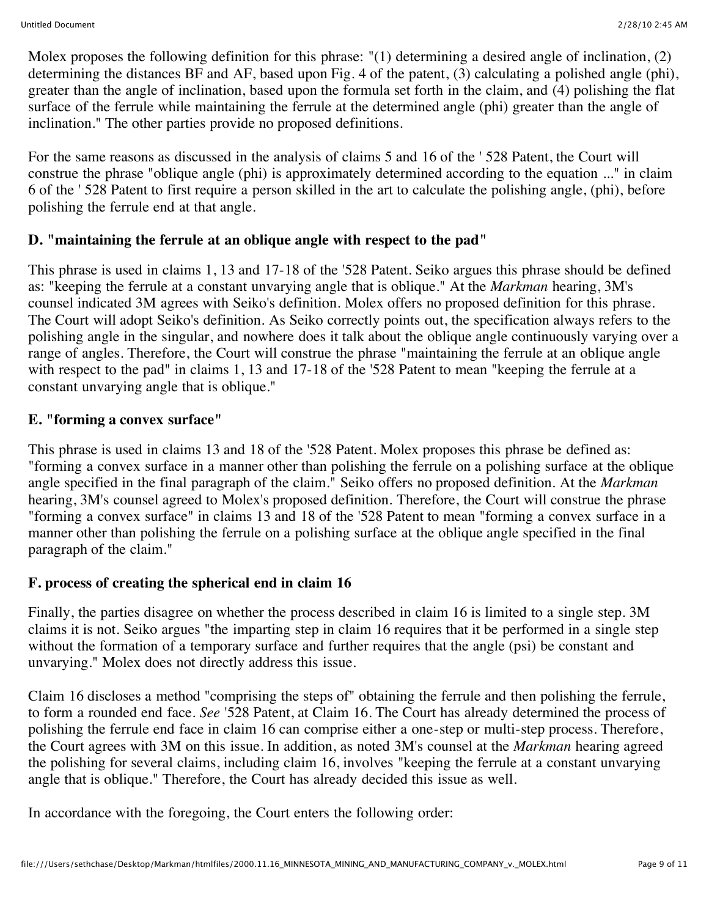Molex proposes the following definition for this phrase: "(1) determining a desired angle of inclination, (2) determining the distances BF and AF, based upon Fig. 4 of the patent, (3) calculating a polished angle (phi), greater than the angle of inclination, based upon the formula set forth in the claim, and (4) polishing the flat surface of the ferrule while maintaining the ferrule at the determined angle (phi) greater than the angle of inclination." The other parties provide no proposed definitions.

For the same reasons as discussed in the analysis of claims 5 and 16 of the ' 528 Patent, the Court will construe the phrase "oblique angle (phi) is approximately determined according to the equation ..." in claim 6 of the ' 528 Patent to first require a person skilled in the art to calculate the polishing angle, (phi), before polishing the ferrule end at that angle.

### **D. "maintaining the ferrule at an oblique angle with respect to the pad"**

This phrase is used in claims 1, 13 and 17-18 of the '528 Patent. Seiko argues this phrase should be defined as: "keeping the ferrule at a constant unvarying angle that is oblique." At the *Markman* hearing, 3M's counsel indicated 3M agrees with Seiko's definition. Molex offers no proposed definition for this phrase. The Court will adopt Seiko's definition. As Seiko correctly points out, the specification always refers to the polishing angle in the singular, and nowhere does it talk about the oblique angle continuously varying over a range of angles. Therefore, the Court will construe the phrase "maintaining the ferrule at an oblique angle with respect to the pad" in claims 1, 13 and 17-18 of the '528 Patent to mean "keeping the ferrule at a constant unvarying angle that is oblique."

### **E. "forming a convex surface"**

This phrase is used in claims 13 and 18 of the '528 Patent. Molex proposes this phrase be defined as: "forming a convex surface in a manner other than polishing the ferrule on a polishing surface at the oblique angle specified in the final paragraph of the claim." Seiko offers no proposed definition. At the *Markman* hearing, 3M's counsel agreed to Molex's proposed definition. Therefore, the Court will construe the phrase "forming a convex surface" in claims 13 and 18 of the '528 Patent to mean "forming a convex surface in a manner other than polishing the ferrule on a polishing surface at the oblique angle specified in the final paragraph of the claim."

## **F. process of creating the spherical end in claim 16**

Finally, the parties disagree on whether the process described in claim 16 is limited to a single step. 3M claims it is not. Seiko argues "the imparting step in claim 16 requires that it be performed in a single step without the formation of a temporary surface and further requires that the angle (psi) be constant and unvarying." Molex does not directly address this issue.

Claim 16 discloses a method "comprising the steps of" obtaining the ferrule and then polishing the ferrule, to form a rounded end face. *See* '528 Patent, at Claim 16. The Court has already determined the process of polishing the ferrule end face in claim 16 can comprise either a one-step or multi-step process. Therefore, the Court agrees with 3M on this issue. In addition, as noted 3M's counsel at the *Markman* hearing agreed the polishing for several claims, including claim 16, involves "keeping the ferrule at a constant unvarying angle that is oblique." Therefore, the Court has already decided this issue as well.

In accordance with the foregoing, the Court enters the following order: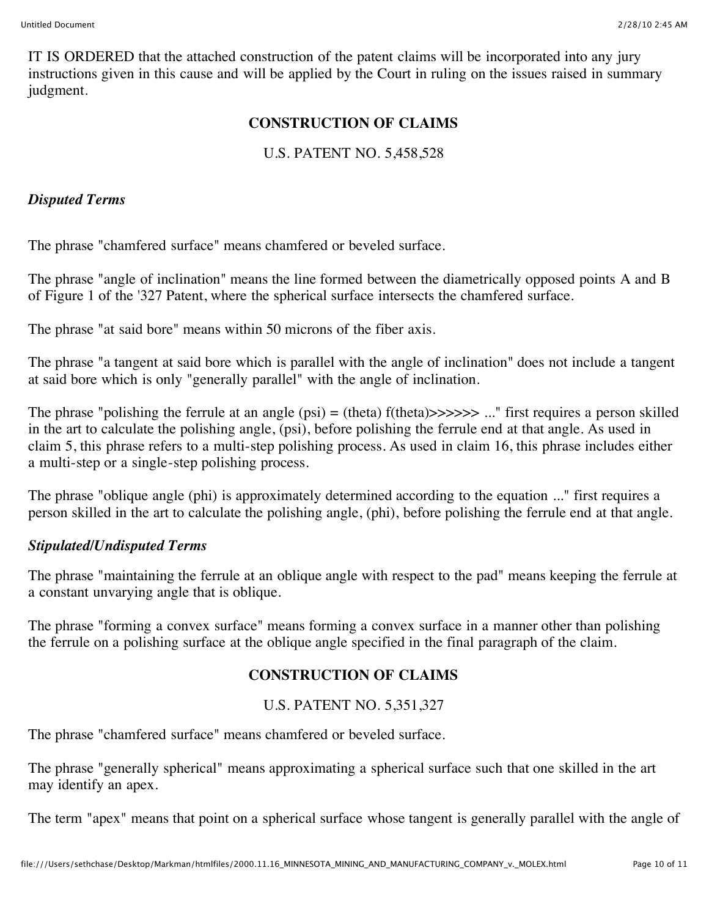IT IS ORDERED that the attached construction of the patent claims will be incorporated into any jury instructions given in this cause and will be applied by the Court in ruling on the issues raised in summary judgment.

### **CONSTRUCTION OF CLAIMS**

## U.S. PATENT NO. 5,458,528

#### *Disputed Terms*

The phrase "chamfered surface" means chamfered or beveled surface.

The phrase "angle of inclination" means the line formed between the diametrically opposed points A and B of Figure 1 of the '327 Patent, where the spherical surface intersects the chamfered surface.

The phrase "at said bore" means within 50 microns of the fiber axis.

The phrase "a tangent at said bore which is parallel with the angle of inclination" does not include a tangent at said bore which is only "generally parallel" with the angle of inclination.

The phrase "polishing the ferrule at an angle  $(psi) = (theta) f(theta) \rightarrow \rightarrow \rightarrow \rightarrow \cdots$ " first requires a person skilled in the art to calculate the polishing angle, (psi), before polishing the ferrule end at that angle. As used in claim 5, this phrase refers to a multi-step polishing process. As used in claim 16, this phrase includes either a multi-step or a single-step polishing process.

The phrase "oblique angle (phi) is approximately determined according to the equation ..." first requires a person skilled in the art to calculate the polishing angle, (phi), before polishing the ferrule end at that angle.

## *Stipulated/Undisputed Terms*

The phrase "maintaining the ferrule at an oblique angle with respect to the pad" means keeping the ferrule at a constant unvarying angle that is oblique.

The phrase "forming a convex surface" means forming a convex surface in a manner other than polishing the ferrule on a polishing surface at the oblique angle specified in the final paragraph of the claim.

## **CONSTRUCTION OF CLAIMS**

## U.S. PATENT NO. 5,351,327

The phrase "chamfered surface" means chamfered or beveled surface.

The phrase "generally spherical" means approximating a spherical surface such that one skilled in the art may identify an apex.

The term "apex" means that point on a spherical surface whose tangent is generally parallel with the angle of